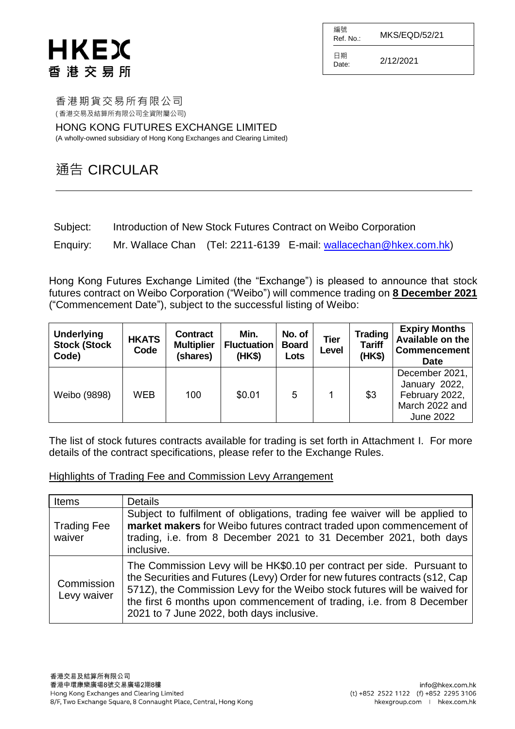編號  $R$ ef. No.: MKS/EQD/52/21 日期

 $D_{\text{date}}$  2/12/2021

香港期貨交易所有限公司 ( 香港交易及結算所有限公司全資附屬公司)

HONG KONG FUTURES EXCHANGE LIMITED (A wholly-owned subsidiary of Hong Kong Exchanges and Clearing Limited)

### 通告 CIRCULAR

| Subject: |  | Introduction of New Stock Futures Contract on Weibo Corporation |  |
|----------|--|-----------------------------------------------------------------|--|
|----------|--|-----------------------------------------------------------------|--|

Enquiry: Mr. Wallace Chan (Tel: 2211-6139 E-mail: [wallacechan@hkex.com.hk\)](mailto:wallacechan@hkex.com.hk)

Hong Kong Futures Exchange Limited (the "Exchange") is pleased to announce that stock futures contract on Weibo Corporation ("Weibo") will commence trading on **8 December 2021** ("Commencement Date"), subject to the successful listing of Weibo:

| <b>Underlying</b><br><b>Stock (Stock</b><br>Code) | <b>HKATS</b><br>Code | <b>Contract</b><br><b>Multiplier</b><br>(shares) | Min.<br><b>Fluctuation</b><br>(HK\$) | No. of<br><b>Board</b><br>Lots | <b>Tier</b><br>Level | <b>Trading</b><br><b>Tariff</b><br>(HK\$) | <b>Expiry Months</b><br>Available on the<br>Commencement<br><b>Date</b>          |
|---------------------------------------------------|----------------------|--------------------------------------------------|--------------------------------------|--------------------------------|----------------------|-------------------------------------------|----------------------------------------------------------------------------------|
| Weibo (9898)                                      | <b>WEB</b>           | 100                                              | \$0.01                               | 5                              |                      | \$3                                       | December 2021,<br>January 2022,<br>February 2022,<br>March 2022 and<br>June 2022 |

The list of stock futures contracts available for trading is set forth in Attachment I. For more details of the contract specifications, please refer to the Exchange Rules.

#### Highlights of Trading Fee and Commission Levy Arrangement

| Items                        | <b>Details</b>                                                                                                                                                                                                                                                                                                                                            |
|------------------------------|-----------------------------------------------------------------------------------------------------------------------------------------------------------------------------------------------------------------------------------------------------------------------------------------------------------------------------------------------------------|
| <b>Trading Fee</b><br>waiver | Subject to fulfilment of obligations, trading fee waiver will be applied to<br>market makers for Weibo futures contract traded upon commencement of<br>trading, i.e. from 8 December 2021 to 31 December 2021, both days<br>inclusive.                                                                                                                    |
| Commission<br>Levy waiver    | The Commission Levy will be HK\$0.10 per contract per side. Pursuant to<br>the Securities and Futures (Levy) Order for new futures contracts (s12, Cap<br>571Z), the Commission Levy for the Weibo stock futures will be waived for<br>the first 6 months upon commencement of trading, i.e. from 8 December<br>2021 to 7 June 2022, both days inclusive. |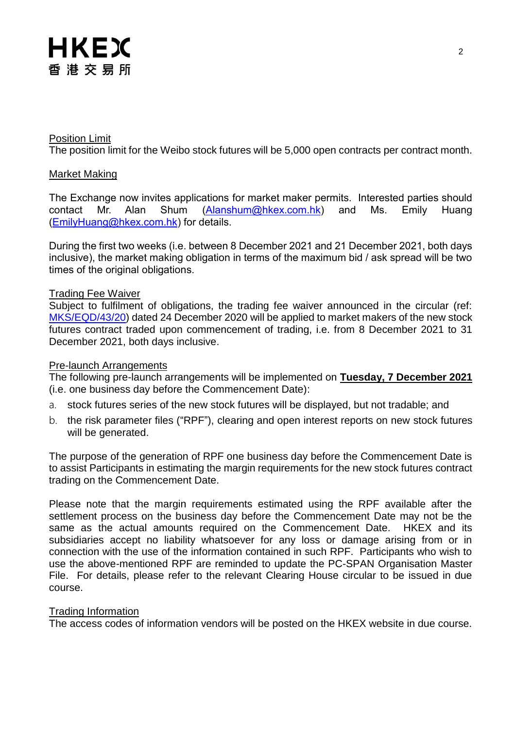#### Position Limit

The position limit for the Weibo stock futures will be 5,000 open contracts per contract month.

#### Market Making

The Exchange now invites applications for market maker permits. Interested parties should contact Mr. Alan Shum [\(Alanshum@hkex.com.hk\)](mailto:Alanshum@hkex.com.hk) and Ms. Emily Huang [\(EmilyHuang@hkex.com.hk\)](mailto:EmilyHuang@HKEX.COM.HK) for details.

During the first two weeks (i.e. between 8 December 2021 and 21 December 2021, both days inclusive), the market making obligation in terms of the maximum bid / ask spread will be two times of the original obligations.

#### Trading Fee Waiver

Subject to fulfilment of obligations, the trading fee waiver announced in the circular (ref: [MKS/EQD/43/20\)](https://www.hkex.com.hk/-/media/HKEX-Market/Services/Circulars-and-Notices/Participant-and-Members-Circulars/HKFE/2020/MKS_EQD_43_20_e.pdf) dated 24 December 2020 will be applied to market makers of the new stock futures contract traded upon commencement of trading, i.e. from 8 December 2021 to 31 December 2021, both days inclusive.

#### Pre-launch Arrangements

The following pre-launch arrangements will be implemented on **Tuesday, 7 December 2021** (i.e. one business day before the Commencement Date):

- a. stock futures series of the new stock futures will be displayed, but not tradable; and
- b. the risk parameter files ("RPF"), clearing and open interest reports on new stock futures will be generated.

The purpose of the generation of RPF one business day before the Commencement Date is to assist Participants in estimating the margin requirements for the new stock futures contract trading on the Commencement Date.

Please note that the margin requirements estimated using the RPF available after the settlement process on the business day before the Commencement Date may not be the same as the actual amounts required on the Commencement Date. HKEX and its subsidiaries accept no liability whatsoever for any loss or damage arising from or in connection with the use of the information contained in such RPF. Participants who wish to use the above-mentioned RPF are reminded to update the PC-SPAN Organisation Master File. For details, please refer to the relevant Clearing House circular to be issued in due course.

#### Trading Information

The access codes of information vendors will be posted on the HKEX website in due course.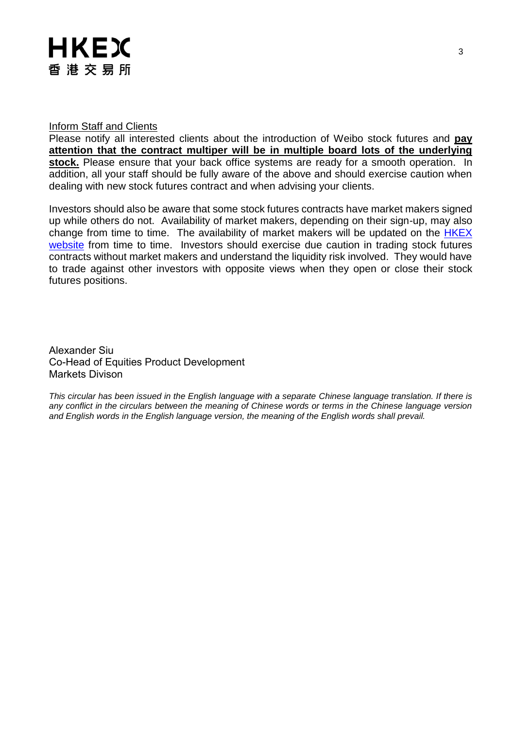#### Inform Staff and Clients

Please notify all interested clients about the introduction of Weibo stock futures and **pay attention that the contract multiper will be in multiple board lots of the underlying**  stock. Please ensure that your back office systems are ready for a smooth operation. In addition, all your staff should be fully aware of the above and should exercise caution when dealing with new stock futures contract and when advising your clients.

Investors should also be aware that some stock futures contracts have market makers signed up while others do not. Availability of market makers, depending on their sign-up, may also change from time to time. The availability of market makers will be updated on the [HKEX](http://www.hkex.com.hk/Products/Listed-Derivatives/Single-Stock/Stock-Futures?sc_lang=en)  [website](http://www.hkex.com.hk/Products/Listed-Derivatives/Single-Stock/Stock-Futures?sc_lang=en) from time to time. Investors should exercise due caution in trading stock futures contracts without market makers and understand the liquidity risk involved. They would have to trade against other investors with opposite views when they open or close their stock futures positions.

Alexander Siu Co-Head of Equities Product Development Markets Divison

*This circular has been issued in the English language with a separate Chinese language translation. If there is any conflict in the circulars between the meaning of Chinese words or terms in the Chinese language version and English words in the English language version, the meaning of the English words shall prevail.*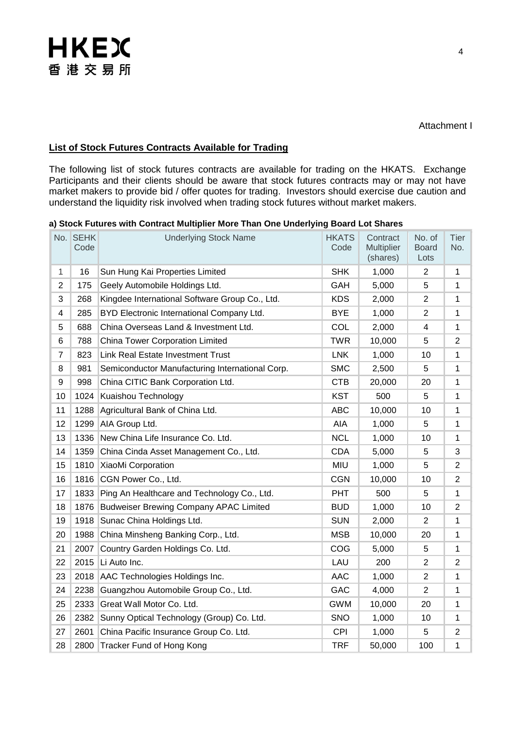#### **List of Stock Futures Contracts Available for Trading**

The following list of stock futures contracts are available for trading on the HKATS. Exchange Participants and their clients should be aware that stock futures contracts may or may not have market makers to provide bid / offer quotes for trading. Investors should exercise due caution and understand the liquidity risk involved when trading stock futures without market makers.

|  |  |  | a) Stock Futures with Contract Multiplier More Than One Underlying Board Lot Shares |  |  |  |
|--|--|--|-------------------------------------------------------------------------------------|--|--|--|
|--|--|--|-------------------------------------------------------------------------------------|--|--|--|

|                | No. SEHK<br>Code | <b>Underlying Stock Name</b>                    | <b>HKATS</b><br>Code | Contract<br><b>Multiplier</b><br>(shares) | No. of<br><b>Board</b><br>Lots | <b>Tier</b><br>No. |
|----------------|------------------|-------------------------------------------------|----------------------|-------------------------------------------|--------------------------------|--------------------|
| $\mathbf{1}$   | 16               | Sun Hung Kai Properties Limited                 | <b>SHK</b>           | 1,000                                     | $\overline{2}$                 | 1                  |
| $\overline{2}$ | 175              | Geely Automobile Holdings Ltd.                  | GAH                  | 5,000                                     | 5                              | 1                  |
| 3              | 268              | Kingdee International Software Group Co., Ltd.  | <b>KDS</b>           | 2,000                                     | $\overline{2}$                 | 1                  |
| 4              | 285              | BYD Electronic International Company Ltd.       | <b>BYE</b>           | 1,000                                     | $\overline{2}$                 | 1                  |
| 5              | 688              | China Overseas Land & Investment Ltd.           | COL                  | 2,000                                     | 4                              | 1                  |
| 6              | 788              | China Tower Corporation Limited                 | <b>TWR</b>           | 10,000                                    | 5                              | $\overline{2}$     |
| $\overline{7}$ | 823              | Link Real Estate Investment Trust               | <b>LNK</b>           | 1,000                                     | 10                             | 1                  |
| 8              | 981              | Semiconductor Manufacturing International Corp. | <b>SMC</b>           | 2,500                                     | 5                              | 1                  |
| 9              | 998              | China CITIC Bank Corporation Ltd.               | <b>CTB</b>           | 20,000                                    | 20                             | 1                  |
| 10             | 1024             | Kuaishou Technology                             | <b>KST</b>           | 500                                       | 5                              | 1                  |
| 11             | 1288             | Agricultural Bank of China Ltd.                 | <b>ABC</b>           | 10,000                                    | 10                             | 1                  |
| 12             | 1299             | AIA Group Ltd.                                  | AIA                  | 1,000                                     | 5                              | 1                  |
| 13             | 1336             | New China Life Insurance Co. Ltd.               | <b>NCL</b>           | 1,000                                     | 10                             | 1                  |
| 14             | 1359             | China Cinda Asset Management Co., Ltd.          | <b>CDA</b>           | 5,000                                     | 5                              | 3                  |
| 15             | 1810             | XiaoMi Corporation                              | <b>MIU</b>           | 1,000                                     | 5                              | $\overline{2}$     |
| 16             | 1816             | CGN Power Co., Ltd.                             | <b>CGN</b>           | 10,000                                    | 10                             | 2                  |
| 17             | 1833             | Ping An Healthcare and Technology Co., Ltd.     | <b>PHT</b>           | 500                                       | 5                              | 1                  |
| 18             | 1876             | <b>Budweiser Brewing Company APAC Limited</b>   | <b>BUD</b>           | 1,000                                     | 10                             | $\overline{2}$     |
| 19             | 1918             | Sunac China Holdings Ltd.                       | <b>SUN</b>           | 2,000                                     | $\overline{2}$                 | 1                  |
| 20             | 1988             | China Minsheng Banking Corp., Ltd.              | <b>MSB</b>           | 10,000                                    | 20                             | 1                  |
| 21             | 2007             | Country Garden Holdings Co. Ltd.                | COG                  | 5,000                                     | 5                              | 1                  |
| 22             | 2015             | Li Auto Inc.                                    | LAU                  | 200                                       | $\overline{2}$                 | $\overline{2}$     |
| 23             | 2018             | AAC Technologies Holdings Inc.                  | <b>AAC</b>           | 1,000                                     | $\overline{2}$                 | 1                  |
| 24             | 2238             | Guangzhou Automobile Group Co., Ltd.            | GAC                  | 4,000                                     | $\overline{2}$                 | 1                  |
| 25             | 2333             | Great Wall Motor Co. Ltd.                       | <b>GWM</b>           | 10,000                                    | 20                             | 1                  |
| 26             | 2382             | Sunny Optical Technology (Group) Co. Ltd.       | <b>SNO</b>           | 1,000                                     | 10                             | 1                  |
| 27             | 2601             | China Pacific Insurance Group Co. Ltd.          | <b>CPI</b>           | 1,000                                     | 5                              | $\overline{2}$     |
| 28             |                  | 2800 Tracker Fund of Hong Kong                  | <b>TRF</b>           | 50,000                                    | 100                            | 1                  |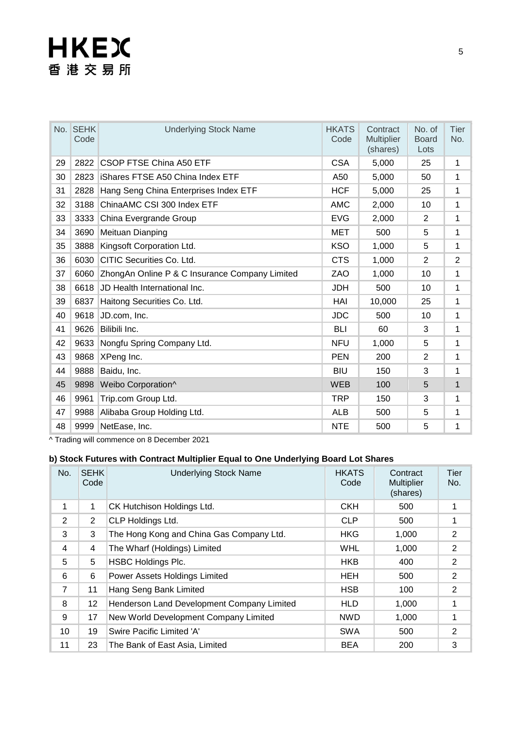|    | No. SEHK<br>Code | <b>Underlying Stock Name</b>                   | <b>HKATS</b><br>Code | Contract<br><b>Multiplier</b><br>(shares) | No. of<br><b>Board</b><br>Lots | <b>Tier</b><br>No. |
|----|------------------|------------------------------------------------|----------------------|-------------------------------------------|--------------------------------|--------------------|
| 29 | 2822             | CSOP FTSE China A50 ETF                        | <b>CSA</b>           | 5,000                                     | 25                             | 1                  |
| 30 | 2823             | <b>iShares FTSE A50 China Index ETF</b>        | A50                  | 5,000                                     | 50                             | $\mathbf{1}$       |
| 31 | 2828             | Hang Seng China Enterprises Index ETF          | <b>HCF</b>           | 5,000                                     | 25                             | 1                  |
| 32 | 3188             | ChinaAMC CSI 300 Index ETF                     | <b>AMC</b>           | 2,000                                     | 10                             | 1                  |
| 33 | 3333             | China Evergrande Group                         | <b>EVG</b>           | 2,000                                     | 2                              | 1                  |
| 34 | 3690             | <b>Meituan Dianping</b>                        | <b>MET</b>           | 500                                       | 5                              | 1                  |
| 35 | 3888             | Kingsoft Corporation Ltd.                      | <b>KSO</b>           | 1,000                                     | 5                              | 1                  |
| 36 | 6030             | CITIC Securities Co. Ltd.                      | <b>CTS</b>           | 1,000                                     | $\overline{2}$                 | $\overline{2}$     |
| 37 | 6060             | ZhongAn Online P & C Insurance Company Limited | ZAO                  | 1,000                                     | 10                             | 1                  |
| 38 | 6618             | JD Health International Inc.                   | <b>JDH</b>           | 500                                       | 10                             | $\mathbf{1}$       |
| 39 | 6837             | Haitong Securities Co. Ltd.                    | HAI                  | 10,000                                    | 25                             | 1                  |
| 40 | 9618             | JD.com, Inc.                                   | <b>JDC</b>           | 500                                       | 10                             | 1                  |
| 41 | 9626             | Bilibili Inc.                                  | <b>BLI</b>           | 60                                        | 3                              | 1                  |
| 42 | 9633             | Nongfu Spring Company Ltd.                     | <b>NFU</b>           | 1,000                                     | 5                              | 1                  |
| 43 | 9868             | XPeng Inc.                                     | <b>PEN</b>           | 200                                       | 2                              | 1                  |
| 44 | 9888             | Baidu, Inc.                                    | <b>BIU</b>           | 150                                       | 3                              | 1                  |
| 45 | 9898             | Weibo Corporation^                             | <b>WEB</b>           | 100                                       | 5                              | $\mathbf{1}$       |
| 46 | 9961             | Trip.com Group Ltd.                            | <b>TRP</b>           | 150                                       | 3                              | 1                  |
| 47 | 9988             | Alibaba Group Holding Ltd.                     | <b>ALB</b>           | 500                                       | 5                              | 1                  |
| 48 | 9999             | NetEase, Inc.                                  | <b>NTE</b>           | 500                                       | 5                              | 1                  |

^ Trading will commence on 8 December 2021

### **b) Stock Futures with Contract Multiplier Equal to One Underlying Board Lot Shares**

| No.            | <b>SEHK</b><br>Code | <b>Underlying Stock Name</b>               | <b>HKATS</b><br>Code | Contract<br><b>Multiplier</b><br>(shares) | Tier<br>No.    |
|----------------|---------------------|--------------------------------------------|----------------------|-------------------------------------------|----------------|
| 1              | 1                   | CK Hutchison Holdings Ltd.                 | <b>CKH</b>           | 500                                       | 1              |
| 2              | $\overline{2}$      | CLP Holdings Ltd.                          | <b>CLP</b>           | 500                                       | 1              |
| 3              | 3                   | The Hong Kong and China Gas Company Ltd.   | <b>HKG</b>           | 1,000                                     | 2              |
| 4              | 4                   | The Wharf (Holdings) Limited               | <b>WHL</b>           | 1,000                                     | $\overline{2}$ |
| 5              | 5                   | <b>HSBC Holdings Plc.</b>                  | <b>HKB</b>           | 400                                       | $\overline{2}$ |
| 6              | 6                   | Power Assets Holdings Limited              | <b>HEH</b>           | 500                                       | $\overline{2}$ |
| $\overline{7}$ | 11                  | Hang Seng Bank Limited                     | <b>HSB</b>           | 100                                       | 2              |
| 8              | 12                  | Henderson Land Development Company Limited | <b>HLD</b>           | 1,000                                     | 1              |
| 9              | 17                  | New World Development Company Limited      | <b>NWD</b>           | 1,000                                     | 1              |
| 10             | 19                  | Swire Pacific Limited 'A'                  | <b>SWA</b>           | 500                                       | 2              |
| 11             | 23                  | The Bank of East Asia, Limited             | <b>BEA</b>           | 200                                       | 3              |